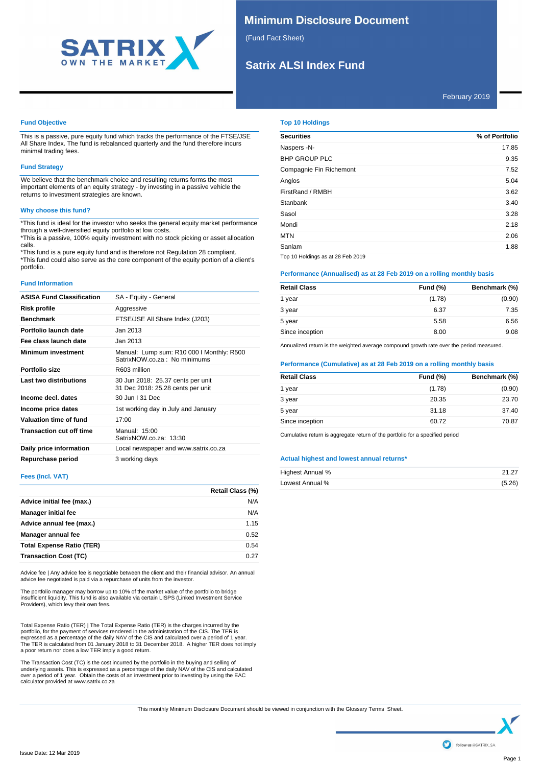

# **Minimum Disclosure Document**

(Fund Fact Sheet)

# **Satrix ALSI Index Fund**

### **Fund Objective**

This is a passive, pure equity fund which tracks the performance of the FTSE/JSE All Share Index. The fund is rebalanced quarterly and the fund therefore incurs minimal trading fees.

# **Fund Strategy**

We believe that the benchmark choice and resulting returns forms the most important elements of an equity strategy - by investing in a passive vehicle the returns to investment strategies are known.

#### **Why choose this fund?**

\*This fund is ideal for the investor who seeks the general equity market performance through a well-diversified equity portfolio at low costs. \*This is a passive, 100% equity investment with no stock picking or asset allocation

calls. \*This fund is a pure equity fund and is therefore not Regulation 28 compliant.

\*This fund could also serve as the core component of the equity portion of a client's portfolio.

### **Fund Information**

| <b>ASISA Fund Classification</b> | SA - Equity - General                                                     |
|----------------------------------|---------------------------------------------------------------------------|
| <b>Risk profile</b>              | Aggressive                                                                |
| <b>Benchmark</b>                 | FTSE/JSE All Share Index (J203)                                           |
| Portfolio launch date            | Jan 2013                                                                  |
| Fee class launch date            | Jan 2013                                                                  |
| <b>Minimum investment</b>        | Manual: Lump sum: R10 000 I Monthly: R500<br>SatrixNOW.co.za: No minimums |
| Portfolio size                   | R603 million                                                              |
| Last two distributions           | 30 Jun 2018: 25.37 cents per unit<br>31 Dec 2018: 25.28 cents per unit    |
| Income decl. dates               | 30 Jun   31 Dec                                                           |
| Income price dates               | 1st working day in July and January                                       |
| Valuation time of fund           | 17:00                                                                     |
| <b>Transaction cut off time</b>  | Manual: 15:00<br>SatrixNOW.co.za: 13:30                                   |
| Daily price information          | Local newspaper and www.satrix.co.za                                      |
| Repurchase period                | 3 working days                                                            |

#### **Fees (Incl. VAT)**

|                                  | Retail Class (%) |
|----------------------------------|------------------|
| Advice initial fee (max.)        | N/A              |
| <b>Manager initial fee</b>       | N/A              |
| Advice annual fee (max.)         | 1.15             |
| Manager annual fee               | 0.52             |
| <b>Total Expense Ratio (TER)</b> | 0.54             |
| <b>Transaction Cost (TC)</b>     | 0.27             |

Advice fee | Any advice fee is negotiable between the client and their financial advisor. An annual advice fee negotiated is paid via a repurchase of units from the investor.

The portfolio manager may borrow up to 10% of the market value of the portfolio to bridge<br>insufficient liquidity. This fund is also available via certain LISPS (Linked Investment Service<br>Providers), which levy their own fe

Total Expense Ratio (TER) | The Total Expense Ratio (TER) is the charges incurred by the<br>portfolio, for the payment of services rendered in the administration of the CIS. The TER is<br>expressed as a percentage of the daily N a poor return nor does a low TER imply a good return.

The Transaction Cost (TC) is the cost incurred by the portfolio in the buying and selling of<br>underlying assets. This is expressed as a percentage of the daily NAV of the CIS and calculated<br>over a period of 1 year. Obtain t

### **Top 10 Holdings**

| <b>Securities</b>       | % of Portfolio |
|-------------------------|----------------|
| Naspers -N-             | 17.85          |
| <b>BHP GROUP PLC</b>    | 9.35           |
| Compagnie Fin Richemont | 7.52           |
| Anglos                  | 5.04           |
| FirstRand / RMBH        | 3.62           |
| Stanbank                | 3.40           |
| Sasol                   | 3.28           |
| Mondi                   | 2.18           |
| <b>MTN</b>              | 2.06           |
| Sanlam                  | 1.88           |
|                         |                |

Top 10 Holdings as at 28 Feb 2019

# **Performance (Annualised) as at 28 Feb 2019 on a rolling monthly basis**

| <b>Retail Class</b> | <b>Fund (%)</b> | Benchmark (%) |
|---------------------|-----------------|---------------|
| 1 year              | (1.78)          | (0.90)        |
| 3 year              | 6.37            | 7.35          |
| 5 year              | 5.58            | 6.56          |
| Since inception     | 8.00            | 9.08          |

Annualized return is the weighted average compound growth rate over the period measured.

### **Performance (Cumulative) as at 28 Feb 2019 on a rolling monthly basis**

| <b>Fund (%)</b> | Benchmark (%) |
|-----------------|---------------|
| (1.78)          | (0.90)        |
| 20.35           | 23.70         |
| 31.18           | 37.40         |
| 60.72           | 70.87         |
|                 |               |

Cumulative return is aggregate return of the portfolio for a specified period

#### **Actual highest and lowest annual returns\***

| Highest Annual % | 21.27  |
|------------------|--------|
| Lowest Annual %  | (5.26) |

This monthly Minimum Disclosure Document should be viewed in conjunction with the Glossary Terms Sheet.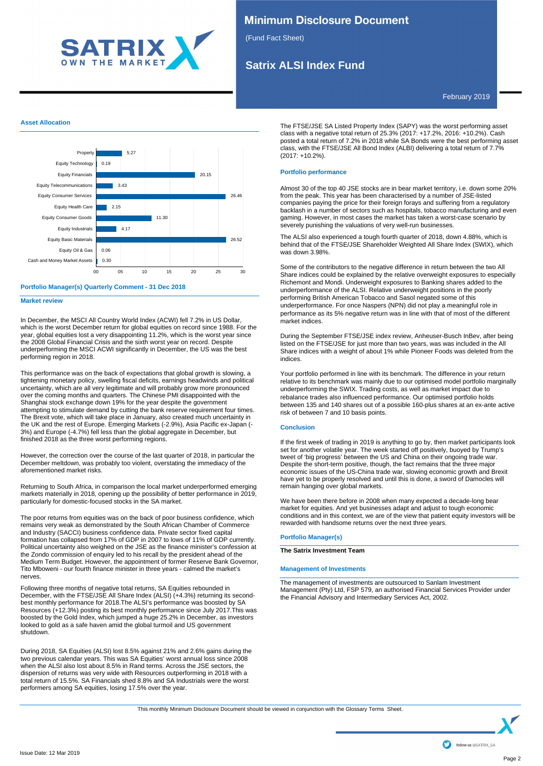

# **Minimum Disclosure Document**

(Fund Fact Sheet)

# **Satrix ALSI Index Fund**

February 2019

# **Asset Allocation**



#### **Portfolio Manager(s) Quarterly Comment - 31 Dec 2018**

**Market review**

In December, the MSCI All Country World Index (ACWI) fell 7.2% in US Dollar, which is the worst December return for global equities on record since 1988. For the year, global equities lost a very disappointing 11.2%, which is the worst year since the 2008 Global Financial Crisis and the sixth worst year on record. Despite underperforming the MSCI ACWI significantly in December, the US was the best performing region in 2018.

This performance was on the back of expectations that global growth is slowing, a tightening monetary policy, swelling fiscal deficits, earnings headwinds and political uncertainty, which are all very legitimate and will probably grow more pronounced over the coming months and quarters. The Chinese PMI disappointed with the Shanghai stock exchange down 19% for the year despite the government attempting to stimulate demand by cutting the bank reserve requirement four times. The Brexit vote, which will take place in January, also created much uncertainty in the UK and the rest of Europe. Emerging Markets (-2.9%), Asia Pacific ex-Japan (- 3%) and Europe (-4.7%) fell less than the global aggregate in December, but finished 2018 as the three worst performing regions.

However, the correction over the course of the last quarter of 2018, in particular the December meltdown, was probably too violent, overstating the immediacy of the aforementioned market risks.

Returning to South Africa, in comparison the local market underperformed emerging markets materially in 2018, opening up the possibility of better performance in 2019, particularly for domestic-focused stocks in the SA market.

The poor returns from equities was on the back of poor business confidence, which remains very weak as demonstrated by the South African Chamber of Commerce and Industry (SACCI) business confidence data. Private sector fixed capital formation has collapsed from 17% of GDP in 2007 to lows of 11% of GDP currently. Political uncertainty also weighed on the JSE as the finance minister's confession at the Zondo commission of enquiry led to his recall by the president ahead of the Medium Term Budget. However, the appointment of former Reserve Bank Governor, Tito Mboweni - our fourth finance minister in three years - calmed the market's nerves.

Following three months of negative total returns, SA Equities rebounded in December, with the FTSE/JSE All Share Index (ALSI) (+4.3%) returning its secondbest monthly performance for 2018.The ALSI's performance was boosted by SA Resources (+12.3%) posting its best monthly performance since July 2017.This was boosted by the Gold Index, which jumped a huge 25.2% in December, as investors looked to gold as a safe haven amid the global turmoil and US government shutdown.

During 2018, SA Equities (ALSI) lost 8.5% against 21% and 2.6% gains during the two previous calendar years. This was SA Equities' worst annual loss since 2008 when the ALSI also lost about 8.5% in Rand terms. Across the JSE sectors, the dispersion of returns was very wide with Resources outperforming in 2018 with a total return of 15.5%. SA Financials shed 8.8% and SA Industrials were the worst performers among SA equities, losing 17.5% over the year.

The FTSE/JSE SA Listed Property Index (SAPY) was the worst performing asset class with a negative total return of 25.3% (2017: +17.2%, 2016: +10.2%). Cash posted a total return of 7.2% in 2018 while SA Bonds were the best performing asset class, with the FTSE/JSE All Bond Index (ALBI) delivering a total return of 7.7% (2017: +10.2%).

#### **Portfolio performance**

Almost 30 of the top 40 JSE stocks are in bear market territory, i.e. down some 20% from the peak. This year has been characterised by a number of JSE-listed companies paying the price for their foreign forays and suffering from a regulatory backlash in a number of sectors such as hospitals, tobacco manufacturing and even gaming. However, in most cases the market has taken a worst-case scenario by severely punishing the valuations of very well-run businesses.

The ALSI also experienced a tough fourth quarter of 2018, down 4.88%, which is behind that of the FTSE/JSE Shareholder Weighted All Share Index (SWIX), which was down 3.98%.

Some of the contributors to the negative difference in return between the two All Share indices could be explained by the relative overweight exposures to especially Richemont and Mondi. Underweight exposures to Banking shares added to the underperformance of the ALSI. Relative underweight positions in the poorly performing British American Tobacco and Sasol negated some of this underperformance. For once Naspers (NPN) did not play a meaningful role in performance as its 5% negative return was in line with that of most of the different market indices.

During the September FTSE/JSE index review, Anheuser-Busch InBev, after being listed on the FTSE/JSE for just more than two years, was was included in the All Share indices with a weight of about 1% while Pioneer Foods was deleted from the indices.

Your portfolio performed in line with its benchmark. The difference in your return relative to its benchmark was mainly due to our optimised model portfolio marginally underperforming the SWIX. Trading costs, as well as market impact due to rebalance trades also influenced performance. Our optimised portfolio holds between 135 and 140 shares out of a possible 160-plus shares at an ex-ante active risk of between 7 and 10 basis points.

### **Conclusion**

If the first week of trading in 2019 is anything to go by, then market participants look set for another volatile year. The week started off positively, buoyed by Trump's tweet of 'big progress' between the US and China on their ongoing trade war. Despite the short-term positive, though, the fact remains that the three major economic issues of the US-China trade war, slowing economic growth and Brexit have yet to be properly resolved and until this is done, a sword of Damocles will remain hanging over global markets.

We have been there before in 2008 when many expected a decade-long bear market for equities. And yet businesses adapt and adjust to tough economic conditions and in this context, we are of the view that patient equity investors will be rewarded with handsome returns over the next three years.

#### **Portfolio Manager(s)**

**The Satrix Investment Team**

#### **Management of Investments**

The management of investments are outsourced to Sanlam Investment Management (Pty) Ltd, FSP 579, an authorised Financial Services Provider under the Financial Advisory and Intermediary Services Act, 2002.

This monthly Minimum Disclosure Document should be viewed in conjunction with the Glossary Terms Sheet.